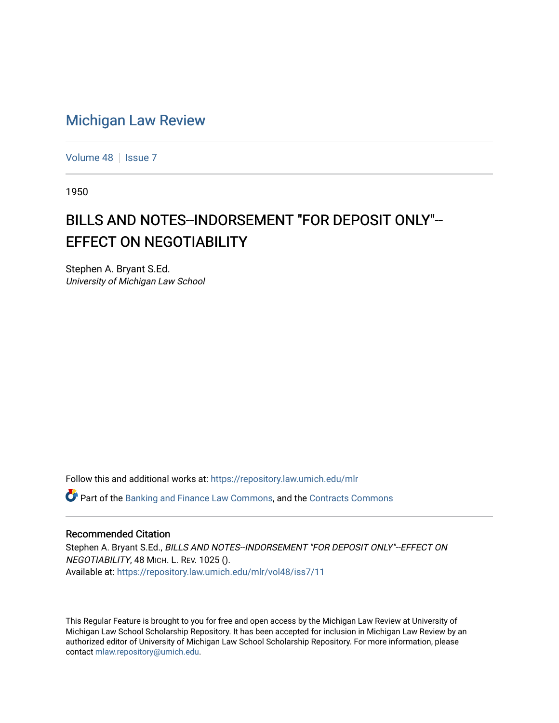## [Michigan Law Review](https://repository.law.umich.edu/mlr)

[Volume 48](https://repository.law.umich.edu/mlr/vol48) | [Issue 7](https://repository.law.umich.edu/mlr/vol48/iss7)

1950

## BILLS AND NOTES--INDORSEMENT "FOR DEPOSIT ONLY"-- **EFFECT ON NEGOTIABILITY**

Stephen A. Bryant S.Ed. University of Michigan Law School

Follow this and additional works at: [https://repository.law.umich.edu/mlr](https://repository.law.umich.edu/mlr?utm_source=repository.law.umich.edu%2Fmlr%2Fvol48%2Fiss7%2F11&utm_medium=PDF&utm_campaign=PDFCoverPages) 

 $\bullet$  Part of the [Banking and Finance Law Commons,](http://network.bepress.com/hgg/discipline/833?utm_source=repository.law.umich.edu%2Fmlr%2Fvol48%2Fiss7%2F11&utm_medium=PDF&utm_campaign=PDFCoverPages) and the Contracts Commons

## Recommended Citation

Stephen A. Bryant S.Ed., BILLS AND NOTES--INDORSEMENT "FOR DEPOSIT ONLY"--EFFECT ON NEGOTIABILITY, 48 MICH. L. REV. 1025 (). Available at: [https://repository.law.umich.edu/mlr/vol48/iss7/11](https://repository.law.umich.edu/mlr/vol48/iss7/11?utm_source=repository.law.umich.edu%2Fmlr%2Fvol48%2Fiss7%2F11&utm_medium=PDF&utm_campaign=PDFCoverPages) 

This Regular Feature is brought to you for free and open access by the Michigan Law Review at University of Michigan Law School Scholarship Repository. It has been accepted for inclusion in Michigan Law Review by an authorized editor of University of Michigan Law School Scholarship Repository. For more information, please contact [mlaw.repository@umich.edu](mailto:mlaw.repository@umich.edu).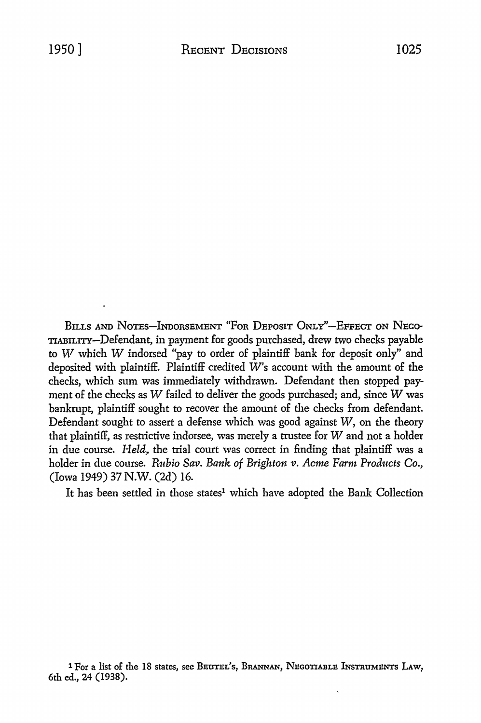BILLS AND NOTES-INDORSEMENT "FOR DEPOSIT ONLY"-EFFECT ON NEGO-TIABILITY-Defendant, in payment for goods purchased, drew two checks payable to *W* which *W* indorsed "pay to order of plaintiff bank for deposit only" and deposited with plaintiff. Plaintiff credited W's account with the amount of the checks, which sum was immediately withdrawn. Defendant then stopped payment of the checks as *W* failed to deliver the goods purchased; and, since *W* was bankrupt, plaintiff sought to recover the amount of the checks from defendant. Defendant sought to assert a defense which was good against *W,* on the theory that plaintiff, as restrictive indorsee, was merely a trustee for  $W$  and not a holder in due course. *Held*, the trial court was correct in finding that plaintiff was a holder in due course. *Rubio Sav. Bank of Brighton v. Acme Farm Products Co.*, (Iowa 1949) 37 N.W. (2d) 16.

It has been settled in those states<sup>1</sup> which have adopted the Bank Collection